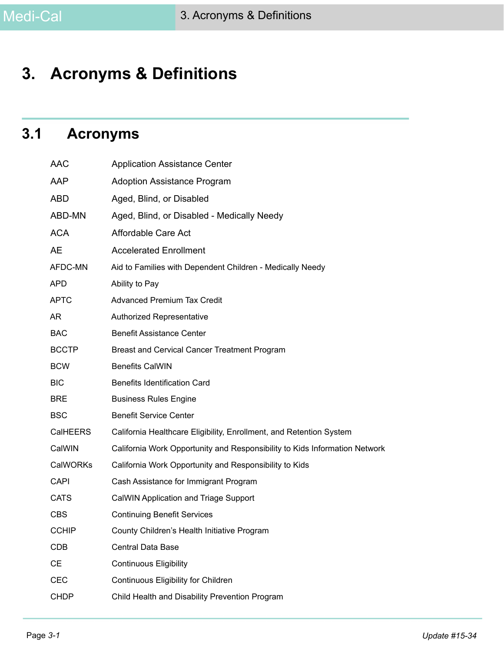# **3. Acronyms & Definitions**

# **3.1 Acronyms**

| <b>AAC</b>   | <b>Application Assistance Center</b>                                       |
|--------------|----------------------------------------------------------------------------|
| AAP          | <b>Adoption Assistance Program</b>                                         |
| <b>ABD</b>   | Aged, Blind, or Disabled                                                   |
| ABD-MN       | Aged, Blind, or Disabled - Medically Needy                                 |
| <b>ACA</b>   | Affordable Care Act                                                        |
| AE           | <b>Accelerated Enrollment</b>                                              |
| AFDC-MN      | Aid to Families with Dependent Children - Medically Needy                  |
| <b>APD</b>   | Ability to Pay                                                             |
| <b>APTC</b>  | <b>Advanced Premium Tax Credit</b>                                         |
| AR           | Authorized Representative                                                  |
| <b>BAC</b>   | <b>Benefit Assistance Center</b>                                           |
| <b>BCCTP</b> | Breast and Cervical Cancer Treatment Program                               |
| <b>BCW</b>   | <b>Benefits CalWIN</b>                                                     |
| <b>BIC</b>   | <b>Benefits Identification Card</b>                                        |
| <b>BRE</b>   | <b>Business Rules Engine</b>                                               |
| <b>BSC</b>   | <b>Benefit Service Center</b>                                              |
| CalHEERS     | California Healthcare Eligibility, Enrollment, and Retention System        |
| CalWIN       | California Work Opportunity and Responsibility to Kids Information Network |
| CalWORKs     | California Work Opportunity and Responsibility to Kids                     |
| <b>CAPI</b>  | Cash Assistance for Immigrant Program                                      |
| <b>CATS</b>  | CalWIN Application and Triage Support                                      |
| <b>CBS</b>   | <b>Continuing Benefit Services</b>                                         |
| <b>CCHIP</b> | County Children's Health Initiative Program                                |
| <b>CDB</b>   | Central Data Base                                                          |
| CE           | <b>Continuous Eligibility</b>                                              |
| <b>CEC</b>   | Continuous Eligibility for Children                                        |
| <b>CHDP</b>  | Child Health and Disability Prevention Program                             |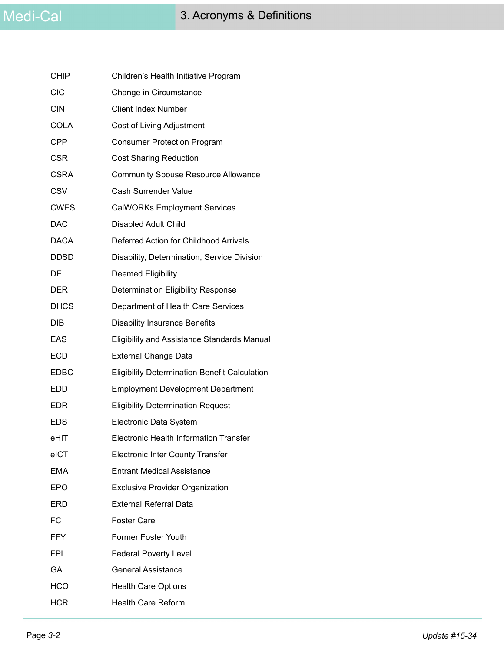| <b>CHIP</b> | Children's Health Initiative Program                 |
|-------------|------------------------------------------------------|
| <b>CIC</b>  | Change in Circumstance                               |
| <b>CIN</b>  | <b>Client Index Number</b>                           |
| <b>COLA</b> | Cost of Living Adjustment                            |
| CPP         | <b>Consumer Protection Program</b>                   |
| <b>CSR</b>  | <b>Cost Sharing Reduction</b>                        |
| CSRA        | <b>Community Spouse Resource Allowance</b>           |
| <b>CSV</b>  | Cash Surrender Value                                 |
| <b>CWES</b> | <b>CalWORKs Employment Services</b>                  |
| <b>DAC</b>  | Disabled Adult Child                                 |
| DACA        | Deferred Action for Childhood Arrivals               |
| <b>DDSD</b> | Disability, Determination, Service Division          |
| DE          | Deemed Eligibility                                   |
| <b>DER</b>  | <b>Determination Eligibility Response</b>            |
| <b>DHCS</b> | Department of Health Care Services                   |
| DIB         | <b>Disability Insurance Benefits</b>                 |
| EAS         | Eligibility and Assistance Standards Manual          |
| <b>ECD</b>  | <b>External Change Data</b>                          |
| <b>EDBC</b> | <b>Eligibility Determination Benefit Calculation</b> |
| <b>EDD</b>  | <b>Employment Development Department</b>             |
| <b>EDR</b>  | <b>Eligibility Determination Request</b>             |
| <b>EDS</b>  | Electronic Data System                               |
| eHIT        | <b>Electronic Health Information Transfer</b>        |
| eICT        | <b>Electronic Inter County Transfer</b>              |
| <b>EMA</b>  | <b>Entrant Medical Assistance</b>                    |
| <b>EPO</b>  | <b>Exclusive Provider Organization</b>               |
| ERD         | <b>External Referral Data</b>                        |
| <b>FC</b>   | <b>Foster Care</b>                                   |
| <b>FFY</b>  | <b>Former Foster Youth</b>                           |
| <b>FPL</b>  | <b>Federal Poverty Level</b>                         |
| GA          | <b>General Assistance</b>                            |
| HCO         | <b>Health Care Options</b>                           |
| <b>HCR</b>  | <b>Health Care Reform</b>                            |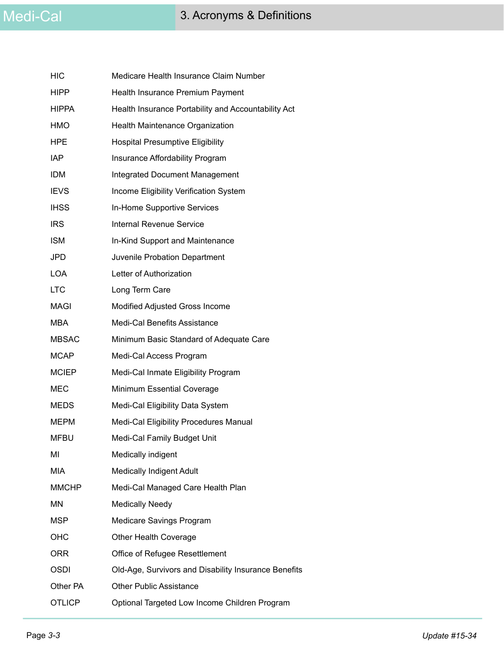| <b>HIC</b>    | Medicare Health Insurance Claim Number               |
|---------------|------------------------------------------------------|
| <b>HIPP</b>   | Health Insurance Premium Payment                     |
| <b>HIPPA</b>  | Health Insurance Portability and Accountability Act  |
| <b>HMO</b>    | Health Maintenance Organization                      |
| <b>HPE</b>    | <b>Hospital Presumptive Eligibility</b>              |
| IAP           | Insurance Affordability Program                      |
| <b>IDM</b>    | <b>Integrated Document Management</b>                |
| <b>IEVS</b>   | Income Eligibility Verification System               |
| <b>IHSS</b>   | In-Home Supportive Services                          |
| <b>IRS</b>    | <b>Internal Revenue Service</b>                      |
| <b>ISM</b>    | In-Kind Support and Maintenance                      |
| <b>JPD</b>    | Juvenile Probation Department                        |
| <b>LOA</b>    | Letter of Authorization                              |
| <b>LTC</b>    | Long Term Care                                       |
| <b>MAGI</b>   | Modified Adjusted Gross Income                       |
| MBA           | <b>Medi-Cal Benefits Assistance</b>                  |
| <b>MBSAC</b>  | Minimum Basic Standard of Adequate Care              |
| <b>MCAP</b>   | Medi-Cal Access Program                              |
| <b>MCIEP</b>  | Medi-Cal Inmate Eligibility Program                  |
| <b>MEC</b>    | Minimum Essential Coverage                           |
| <b>MEDS</b>   | Medi-Cal Eligibility Data System                     |
| <b>MEPM</b>   | Medi-Cal Eligibility Procedures Manual               |
| MFBU          | Medi-Cal Family Budget Unit                          |
| MI            | Medically indigent                                   |
| <b>MIA</b>    | <b>Medically Indigent Adult</b>                      |
| <b>MMCHP</b>  | Medi-Cal Managed Care Health Plan                    |
| <b>MN</b>     | <b>Medically Needy</b>                               |
| <b>MSP</b>    | Medicare Savings Program                             |
| OHC           | Other Health Coverage                                |
| <b>ORR</b>    | Office of Refugee Resettlement                       |
| <b>OSDI</b>   | Old-Age, Survivors and Disability Insurance Benefits |
| Other PA      | <b>Other Public Assistance</b>                       |
| <b>OTLICP</b> | Optional Targeted Low Income Children Program        |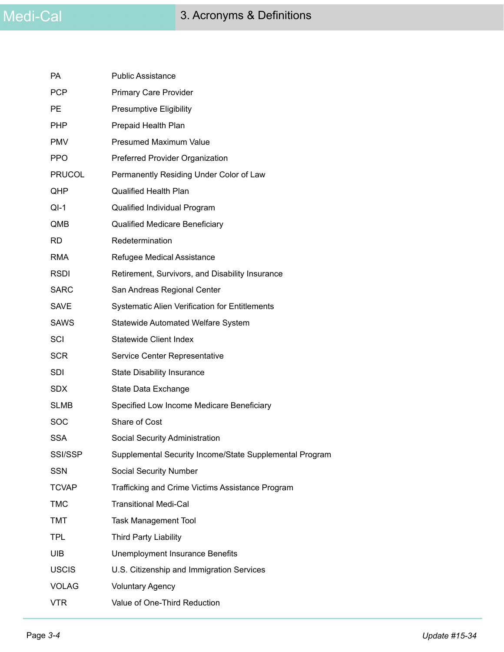| <b>PA</b>     | <b>Public Assistance</b>                                |
|---------------|---------------------------------------------------------|
| <b>PCP</b>    | <b>Primary Care Provider</b>                            |
| РE            | <b>Presumptive Eligibility</b>                          |
| PHP           | Prepaid Health Plan                                     |
| <b>PMV</b>    | <b>Presumed Maximum Value</b>                           |
| <b>PPO</b>    | Preferred Provider Organization                         |
| <b>PRUCOL</b> | Permanently Residing Under Color of Law                 |
| <b>QHP</b>    | <b>Qualified Health Plan</b>                            |
| $QI-1$        | Qualified Individual Program                            |
| QMB           | Qualified Medicare Beneficiary                          |
| RD.           | Redetermination                                         |
| RMA           | Refugee Medical Assistance                              |
| <b>RSDI</b>   | Retirement, Survivors, and Disability Insurance         |
| <b>SARC</b>   | San Andreas Regional Center                             |
| <b>SAVE</b>   | <b>Systematic Alien Verification for Entitlements</b>   |
| <b>SAWS</b>   | Statewide Automated Welfare System                      |
| SCI           | <b>Statewide Client Index</b>                           |
| <b>SCR</b>    | Service Center Representative                           |
| <b>SDI</b>    | <b>State Disability Insurance</b>                       |
| SDX.          | State Data Exchange                                     |
| <b>SLMB</b>   | Specified Low Income Medicare Beneficiary               |
| <b>SOC</b>    | Share of Cost                                           |
| <b>SSA</b>    | Social Security Administration                          |
| SSI/SSP       | Supplemental Security Income/State Supplemental Program |
| <b>SSN</b>    | <b>Social Security Number</b>                           |
| <b>TCVAP</b>  | Trafficking and Crime Victims Assistance Program        |
| <b>TMC</b>    | <b>Transitional Medi-Cal</b>                            |
| <b>TMT</b>    | <b>Task Management Tool</b>                             |
| <b>TPL</b>    | <b>Third Party Liability</b>                            |
| <b>UIB</b>    | Unemployment Insurance Benefits                         |
| <b>USCIS</b>  | U.S. Citizenship and Immigration Services               |
| <b>VOLAG</b>  | <b>Voluntary Agency</b>                                 |
| <b>VTR</b>    | Value of One-Third Reduction                            |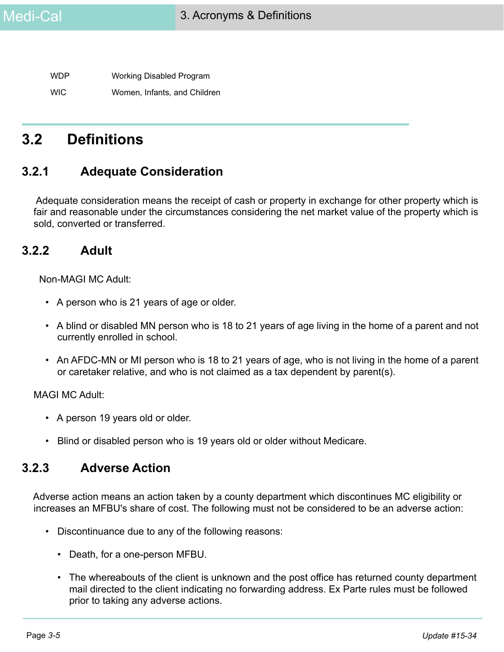WDP Working Disabled Program WIC Women, Infants, and Children

## **3.2 Definitions**

### **3.2.1 Adequate Consideration**

 Adequate consideration means the receipt of cash or property in exchange for other property which is fair and reasonable under the circumstances considering the net market value of the property which is sold, converted or transferred.

#### **3.2.2 Adult**

Non-MAGI MC Adult:

- A person who is 21 years of age or older.
- A blind or disabled MN person who is 18 to 21 years of age living in the home of a parent and not currently enrolled in school.
- An AFDC-MN or MI person who is 18 to 21 years of age, who is not living in the home of a parent or caretaker relative, and who is not claimed as a tax dependent by parent(s).

MAGI MC Adult:

- A person 19 years old or older.
- Blind or disabled person who is 19 years old or older without Medicare.

#### **3.2.3 Adverse Action**

Adverse action means an action taken by a county department which discontinues MC eligibility or increases an MFBU's share of cost. The following must not be considered to be an adverse action:

- Discontinuance due to any of the following reasons:
	- Death, for a one-person MFBU.
	- The whereabouts of the client is unknown and the post office has returned county department mail directed to the client indicating no forwarding address. Ex Parte rules must be followed prior to taking any adverse actions.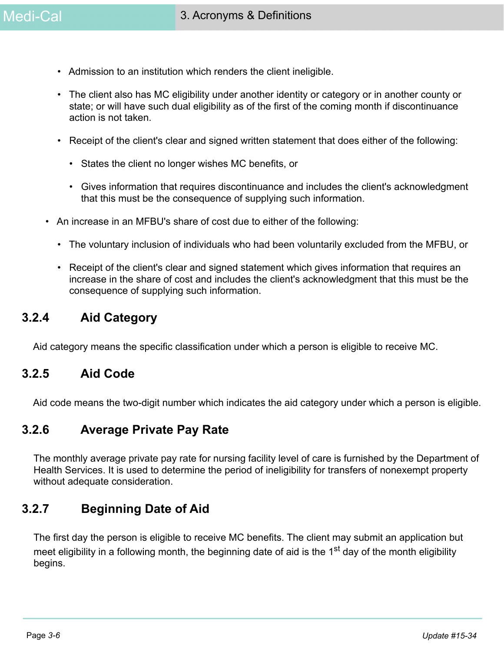- Admission to an institution which renders the client ineligible.
- The client also has MC eligibility under another identity or category or in another county or state; or will have such dual eligibility as of the first of the coming month if discontinuance action is not taken.
- Receipt of the client's clear and signed written statement that does either of the following:
	- States the client no longer wishes MC benefits, or
	- Gives information that requires discontinuance and includes the client's acknowledgment that this must be the consequence of supplying such information.
- An increase in an MFBU's share of cost due to either of the following:
	- The voluntary inclusion of individuals who had been voluntarily excluded from the MFBU, or
	- Receipt of the client's clear and signed statement which gives information that requires an increase in the share of cost and includes the client's acknowledgment that this must be the consequence of supplying such information.

#### **3.2.4 Aid Category**

Aid category means the specific classification under which a person is eligible to receive MC.

#### **3.2.5 Aid Code**

Aid code means the two-digit number which indicates the aid category under which a person is eligible.

#### **3.2.6 Average Private Pay Rate**

The monthly average private pay rate for nursing facility level of care is furnished by the Department of Health Services. It is used to determine the period of ineligibility for transfers of nonexempt property without adequate consideration.

#### **3.2.7 Beginning Date of Aid**

The first day the person is eligible to receive MC benefits. The client may submit an application but meet eligibility in a following month, the beginning date of aid is the 1<sup>st</sup> day of the month eligibility begins.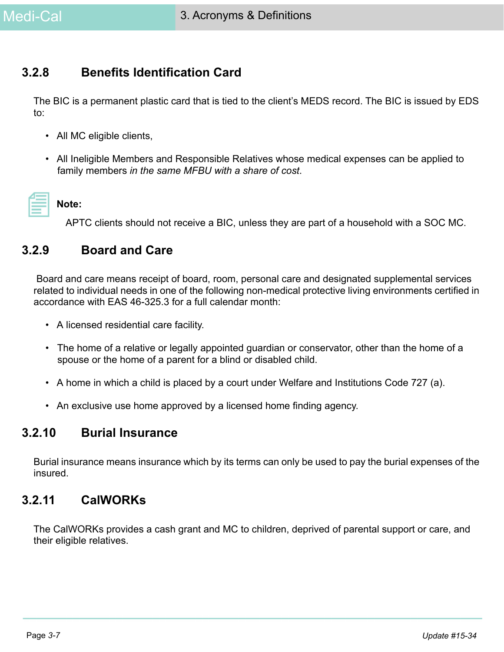## **3.2.8 Benefits Identification Card**

The BIC is a permanent plastic card that is tied to the client's MEDS record. The BIC is issued by EDS to:

- All MC eligible clients,
- All Ineligible Members and Responsible Relatives whose medical expenses can be applied to family members *in the same MFBU with a share of cost*.

#### **Note:**

APTC clients should not receive a BIC, unless they are part of a household with a SOC MC.

#### **3.2.9 Board and Care**

 Board and care means receipt of board, room, personal care and designated supplemental services related to individual needs in one of the following non-medical protective living environments certified in accordance with EAS 46-325.3 for a full calendar month:

- A licensed residential care facility.
- The home of a relative or legally appointed guardian or conservator, other than the home of a spouse or the home of a parent for a blind or disabled child.
- A home in which a child is placed by a court under Welfare and Institutions Code 727 (a).
- An exclusive use home approved by a licensed home finding agency.

### **3.2.10 Burial Insurance**

Burial insurance means insurance which by its terms can only be used to pay the burial expenses of the insured.

### **3.2.11 CalWORKs**

The CalWORKs provides a cash grant and MC to children, deprived of parental support or care, and their eligible relatives.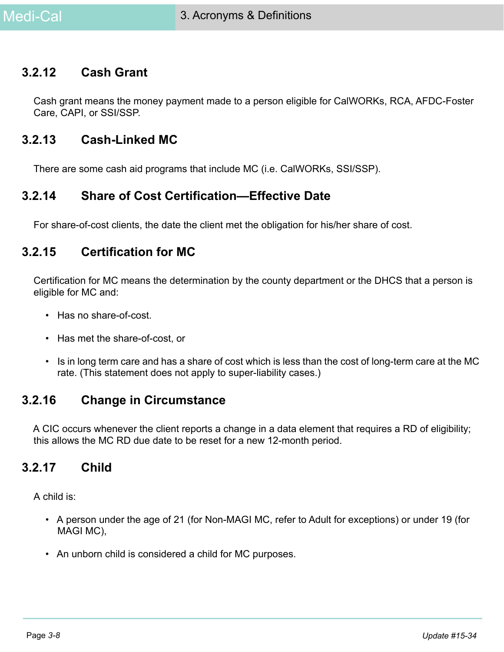### **3.2.12 Cash Grant**

Cash grant means the money payment made to a person eligible for CalWORKs, RCA, AFDC-Foster Care, CAPI, or SSI/SSP.

#### **3.2.13 Cash-Linked MC**

There are some cash aid programs that include MC (i.e. CalWORKs, SSI/SSP).

#### **3.2.14 Share of Cost Certification—Effective Date**

For share-of-cost clients, the date the client met the obligation for his/her share of cost.

### **3.2.15 Certification for MC**

Certification for MC means the determination by the county department or the DHCS that a person is eligible for MC and:

- Has no share-of-cost.
- Has met the share-of-cost, or
- Is in long term care and has a share of cost which is less than the cost of long-term care at the MC rate. (This statement does not apply to super-liability cases.)

#### **3.2.16 Change in Circumstance**

A CIC occurs whenever the client reports a change in a data element that requires a RD of eligibility; this allows the MC RD due date to be reset for a new 12-month period.

#### **3.2.17 Child**

A child is:

- A person under the age of 21 (for Non-MAGI MC, refer to Adult for exceptions) or under 19 (for MAGI MC),
- An unborn child is considered a child for MC purposes.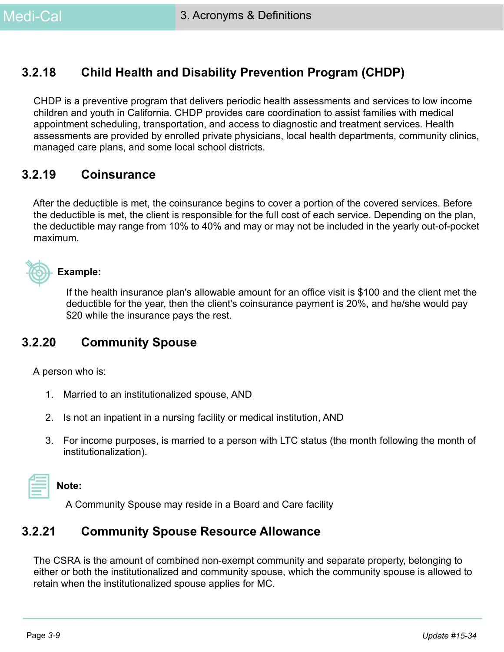### **3.2.18 Child Health and Disability Prevention Program (CHDP)**

CHDP is a preventive program that delivers periodic health assessments and services to low income children and youth in California. CHDP provides care coordination to assist families with medical appointment scheduling, transportation, and access to diagnostic and treatment services*.* Health assessments are provided by enrolled private physicians, local health departments, community clinics, managed care plans, and some local school districts.

#### **3.2.19 Coinsurance**

After the deductible is met, the coinsurance begins to cover a portion of the covered services. Before the deductible is met, the client is responsible for the full cost of each service. Depending on the plan, the deductible may range from 10% to 40% and may or may not be included in the yearly out-of-pocket maximum.



#### **Example:**

If the health insurance plan's allowable amount for an office visit is \$100 and the client met the deductible for the year, then the client's coinsurance payment is 20%, and he/she would pay \$20 while the insurance pays the rest.

#### **3.2.20 Community Spouse**

A person who is:

- 1. Married to an institutionalized spouse, AND
- 2. Is not an inpatient in a nursing facility or medical institution, AND
- 3. For income purposes, is married to a person with LTC status (the month following the month of institutionalization).

#### **Note:**

A Community Spouse may reside in a Board and Care facility

#### **3.2.21 Community Spouse Resource Allowance**

The CSRA is the amount of combined non-exempt community and separate property, belonging to either or both the institutionalized and community spouse, which the community spouse is allowed to retain when the institutionalized spouse applies for MC.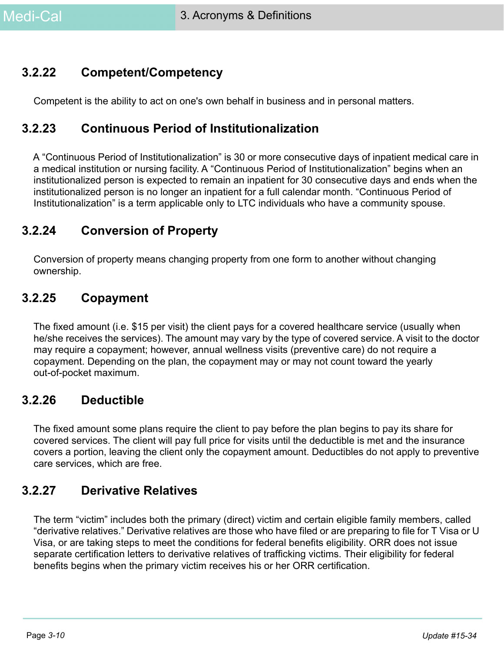## **3.2.22 Competent/Competency**

Competent is the ability to act on one's own behalf in business and in personal matters.

### **3.2.23 Continuous Period of Institutionalization**

A "Continuous Period of Institutionalization" is 30 or more consecutive days of inpatient medical care in a medical institution or nursing facility. A "Continuous Period of Institutionalization" begins when an institutionalized person is expected to remain an inpatient for 30 consecutive days and ends when the institutionalized person is no longer an inpatient for a full calendar month. "Continuous Period of Institutionalization" is a term applicable only to LTC individuals who have a community spouse.

## **3.2.24 Conversion of Property**

Conversion of property means changing property from one form to another without changing ownership.

### **3.2.25 Copayment**

The fixed amount (i.e. \$15 per visit) the client pays for a covered healthcare service (usually when he/she receives the services). The amount may vary by the type of covered service. A visit to the doctor may require a copayment; however, annual wellness visits (preventive care) do not require a copayment. Depending on the plan, the copayment may or may not count toward the yearly out-of-pocket maximum.

#### **3.2.26 Deductible**

The fixed amount some plans require the client to pay before the plan begins to pay its share for covered services. The client will pay full price for visits until the deductible is met and the insurance covers a portion, leaving the client only the copayment amount. Deductibles do not apply to preventive care services, which are free.

#### **3.2.27 Derivative Relatives**

The term "victim" includes both the primary (direct) victim and certain eligible family members, called "derivative relatives." Derivative relatives are those who have filed or are preparing to file for T Visa or U Visa, or are taking steps to meet the conditions for federal benefits eligibility. ORR does not issue separate certification letters to derivative relatives of trafficking victims. Their eligibility for federal benefits begins when the primary victim receives his or her ORR certification.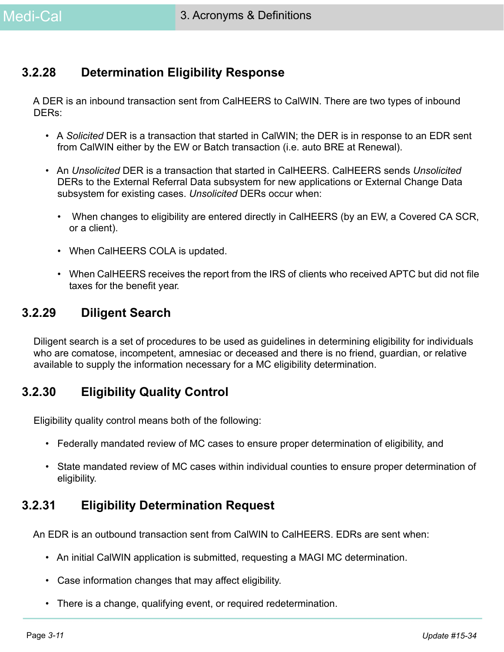## **3.2.28 Determination Eligibility Response**

A DER is an inbound transaction sent from CalHEERS to CalWIN. There are two types of inbound DERs:

- A *Solicited* DER is a transaction that started in CalWIN; the DER is in response to an EDR sent from CalWIN either by the EW or Batch transaction (i.e. auto BRE at Renewal).
- An *Unsolicited* DER is a transaction that started in CalHEERS. CalHEERS sends *Unsolicited*  DERs to the External Referral Data subsystem for new applications or External Change Data subsystem for existing cases. *Unsolicited* DERs occur when:
	- When changes to eligibility are entered directly in CalHEERS (by an EW, a Covered CA SCR, or a client).
	- When CalHEERS COLA is updated.
	- When CalHEERS receives the report from the IRS of clients who received APTC but did not file taxes for the benefit year.

#### **3.2.29 Diligent Search**

Diligent search is a set of procedures to be used as guidelines in determining eligibility for individuals who are comatose, incompetent, amnesiac or deceased and there is no friend, guardian, or relative available to supply the information necessary for a MC eligibility determination.

### **3.2.30 Eligibility Quality Control**

Eligibility quality control means both of the following:

- Federally mandated review of MC cases to ensure proper determination of eligibility, and
- State mandated review of MC cases within individual counties to ensure proper determination of eligibility.

### **3.2.31 Eligibility Determination Request**

An EDR is an outbound transaction sent from CalWIN to CalHEERS. EDRs are sent when:

- An initial CalWIN application is submitted, requesting a MAGI MC determination.
- Case information changes that may affect eligibility.
- There is a change, qualifying event, or required redetermination.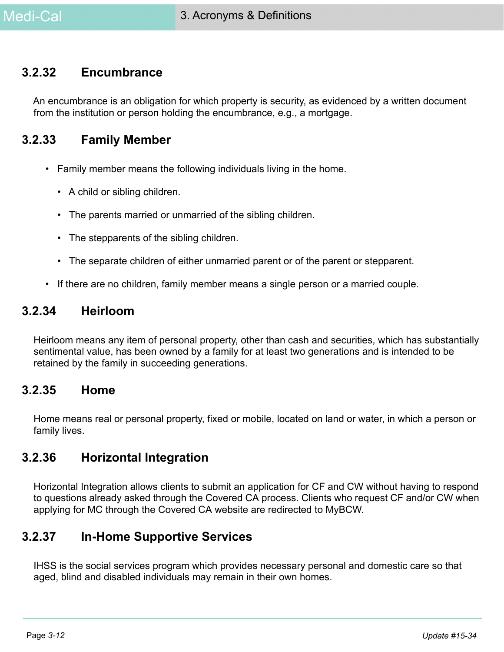#### **3.2.32 Encumbrance**

An encumbrance is an obligation for which property is security, as evidenced by a written document from the institution or person holding the encumbrance, e.g., a mortgage.

#### **3.2.33 Family Member**

- Family member means the following individuals living in the home.
	- A child or sibling children.
	- The parents married or unmarried of the sibling children.
	- The stepparents of the sibling children.
	- The separate children of either unmarried parent or of the parent or stepparent.
- If there are no children, family member means a single person or a married couple.

#### **3.2.34 Heirloom**

Heirloom means any item of personal property, other than cash and securities, which has substantially sentimental value, has been owned by a family for at least two generations and is intended to be retained by the family in succeeding generations.

#### **3.2.35 Home**

Home means real or personal property, fixed or mobile, located on land or water, in which a person or family lives.

#### **3.2.36 Horizontal Integration**

Horizontal Integration allows clients to submit an application for CF and CW without having to respond to questions already asked through the Covered CA process. Clients who request CF and/or CW when applying for MC through the Covered CA website are redirected to MyBCW.

#### **3.2.37 In-Home Supportive Services**

IHSS is the social services program which provides necessary personal and domestic care so that aged, blind and disabled individuals may remain in their own homes.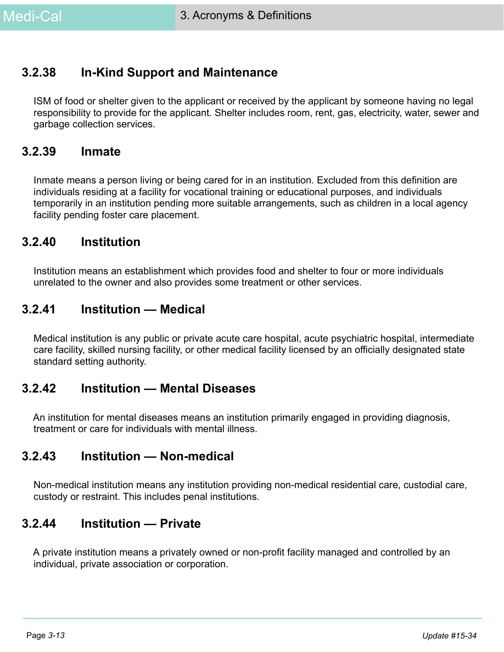#### **3.2.38 In-Kind Support and Maintenance**

ISM of food or shelter given to the applicant or received by the applicant by someone having no legal responsibility to provide for the applicant. Shelter includes room, rent, gas, electricity, water, sewer and garbage collection services.

#### **3.2.39 Inmate**

Inmate means a person living or being cared for in an institution. Excluded from this definition are individuals residing at a facility for vocational training or educational purposes, and individuals temporarily in an institution pending more suitable arrangements, such as children in a local agency facility pending foster care placement.

#### **3.2.40 Institution**

Institution means an establishment which provides food and shelter to four or more individuals unrelated to the owner and also provides some treatment or other services.

#### **3.2.41 Institution — Medical**

Medical institution is any public or private acute care hospital, acute psychiatric hospital, intermediate care facility, skilled nursing facility, or other medical facility licensed by an officially designated state standard setting authority.

#### **3.2.42 Institution — Mental Diseases**

An institution for mental diseases means an institution primarily engaged in providing diagnosis, treatment or care for individuals with mental illness.

#### **3.2.43 Institution — Non-medical**

Non-medical institution means any institution providing non-medical residential care, custodial care, custody or restraint. This includes penal institutions.

#### **3.2.44 Institution — Private**

A private institution means a privately owned or non-profit facility managed and controlled by an individual, private association or corporation.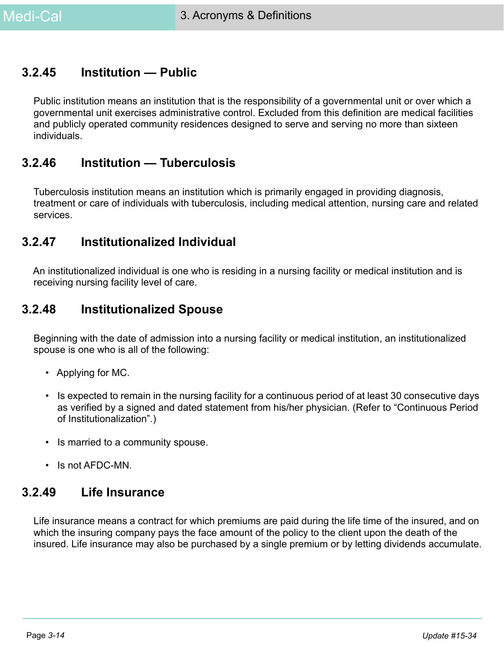#### **3.2.45 Institution — Public**

Public institution means an institution that is the responsibility of a governmental unit or over which a governmental unit exercises administrative control. Excluded from this definition are medical facilities and publicly operated community residences designed to serve and serving no more than sixteen individuals.

#### **3.2.46 Institution — Tuberculosis**

Tuberculosis institution means an institution which is primarily engaged in providing diagnosis, treatment or care of individuals with tuberculosis, including medical attention, nursing care and related services.

#### **3.2.47 Institutionalized Individual**

An institutionalized individual is one who is residing in a nursing facility or medical institution and is receiving nursing facility level of care.

### **3.2.48 Institutionalized Spouse**

Beginning with the date of admission into a nursing facility or medical institution, an institutionalized spouse is one who is all of the following:

- Applying for MC.
- Is expected to remain in the nursing facility for a continuous period of at least 30 consecutive days as verified by a signed and dated statement from his/her physician. (Refer to "Continuous Period of Institutionalization".)
- Is married to a community spouse.
- Is not AFDC-MN.

#### **3.2.49 Life Insurance**

Life insurance means a contract for which premiums are paid during the life time of the insured, and on which the insuring company pays the face amount of the policy to the client upon the death of the insured. Life insurance may also be purchased by a single premium or by letting dividends accumulate.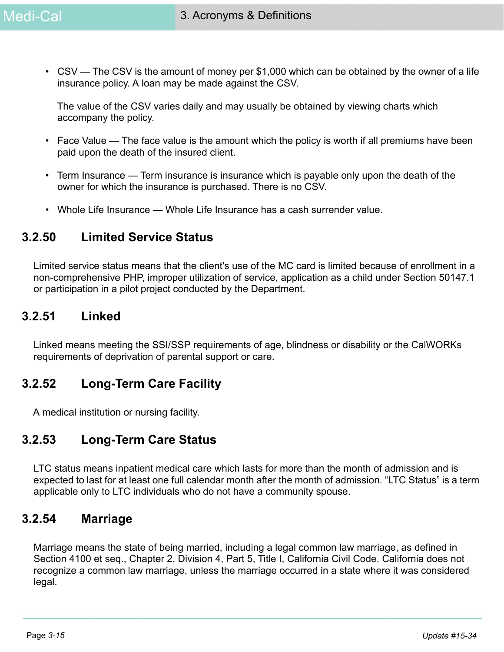• CSV — The CSV is the amount of money per \$1,000 which can be obtained by the owner of a life insurance policy. A loan may be made against the CSV.

The value of the CSV varies daily and may usually be obtained by viewing charts which accompany the policy.

- Face Value The face value is the amount which the policy is worth if all premiums have been paid upon the death of the insured client.
- Term Insurance Term insurance is insurance which is payable only upon the death of the owner for which the insurance is purchased. There is no CSV.
- Whole Life Insurance Whole Life Insurance has a cash surrender value.

#### **3.2.50 Limited Service Status**

Limited service status means that the client's use of the MC card is limited because of enrollment in a non-comprehensive PHP, improper utilization of service, application as a child under Section 50147.1 or participation in a pilot project conducted by the Department.

#### **3.2.51 Linked**

Linked means meeting the SSI/SSP requirements of age, blindness or disability or the CalWORKs requirements of deprivation of parental support or care.

#### **3.2.52 Long-Term Care Facility**

A medical institution or nursing facility.

#### **3.2.53 Long-Term Care Status**

LTC status means inpatient medical care which lasts for more than the month of admission and is expected to last for at least one full calendar month after the month of admission. "LTC Status" is a term applicable only to LTC individuals who do not have a community spouse.

#### **3.2.54 Marriage**

Marriage means the state of being married, including a legal common law marriage, as defined in Section 4100 et seq., Chapter 2, Division 4, Part 5, Title I, California Civil Code. California does not recognize a common law marriage, unless the marriage occurred in a state where it was considered legal.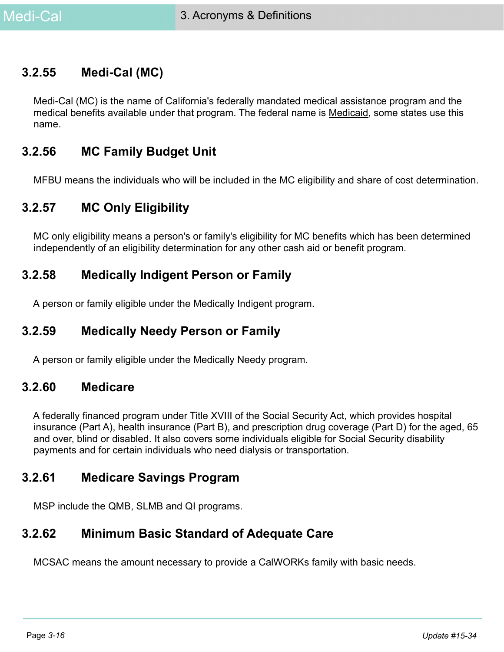#### **3.2.55 Medi-Cal (MC)**

Medi-Cal (MC) is the name of California's federally mandated medical assistance program and the medical benefits available under that program. The federal name is Medicaid, some states use this name.

#### **3.2.56 MC Family Budget Unit**

MFBU means the individuals who will be included in the MC eligibility and share of cost determination.

## **3.2.57 MC Only Eligibility**

MC only eligibility means a person's or family's eligibility for MC benefits which has been determined independently of an eligibility determination for any other cash aid or benefit program.

#### **3.2.58 Medically Indigent Person or Family**

A person or family eligible under the Medically Indigent program.

#### **3.2.59 Medically Needy Person or Family**

A person or family eligible under the Medically Needy program.

#### **3.2.60 Medicare**

A federally financed program under Title XVIII of the Social Security Act, which provides hospital insurance (Part A), health insurance (Part B), and prescription drug coverage (Part D) for the aged, 65 and over, blind or disabled. It also covers some individuals eligible for Social Security disability payments and for certain individuals who need dialysis or transportation.

#### **3.2.61 Medicare Savings Program**

MSP include the QMB, SLMB and QI programs.

#### **3.2.62 Minimum Basic Standard of Adequate Care**

MCSAC means the amount necessary to provide a CalWORKs family with basic needs.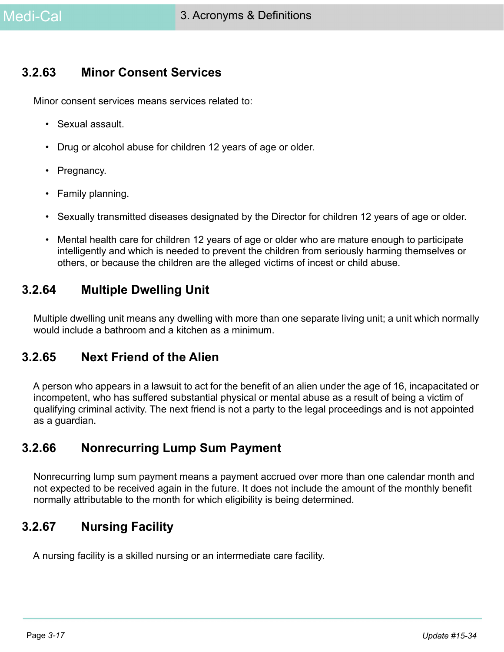### **3.2.63 Minor Consent Services**

Minor consent services means services related to:

- Sexual assault.
- Drug or alcohol abuse for children 12 years of age or older.
- Pregnancy.
- Family planning.
- Sexually transmitted diseases designated by the Director for children 12 years of age or older.
- Mental health care for children 12 years of age or older who are mature enough to participate intelligently and which is needed to prevent the children from seriously harming themselves or others, or because the children are the alleged victims of incest or child abuse.

### **3.2.64 Multiple Dwelling Unit**

Multiple dwelling unit means any dwelling with more than one separate living unit; a unit which normally would include a bathroom and a kitchen as a minimum.

#### **3.2.65 Next Friend of the Alien**

A person who appears in a lawsuit to act for the benefit of an alien under the age of 16, incapacitated or incompetent, who has suffered substantial physical or mental abuse as a result of being a victim of qualifying criminal activity. The next friend is not a party to the legal proceedings and is not appointed as a guardian.

#### **3.2.66 Nonrecurring Lump Sum Payment**

Nonrecurring lump sum payment means a payment accrued over more than one calendar month and not expected to be received again in the future. It does not include the amount of the monthly benefit normally attributable to the month for which eligibility is being determined.

### **3.2.67 Nursing Facility**

A nursing facility is a skilled nursing or an intermediate care facility.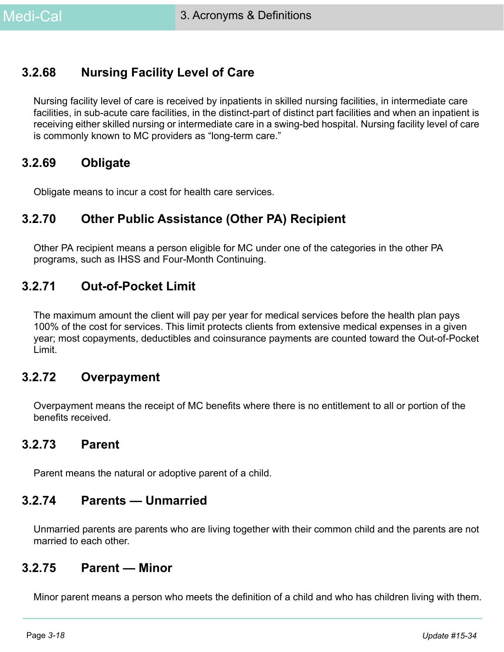## **3.2.68 Nursing Facility Level of Care**

Nursing facility level of care is received by inpatients in skilled nursing facilities, in intermediate care facilities, in sub-acute care facilities, in the distinct-part of distinct part facilities and when an inpatient is receiving either skilled nursing or intermediate care in a swing-bed hospital. Nursing facility level of care is commonly known to MC providers as "long-term care."

#### **3.2.69 Obligate**

Obligate means to incur a cost for health care services.

### **3.2.70 Other Public Assistance (Other PA) Recipient**

Other PA recipient means a person eligible for MC under one of the categories in the other PA programs, such as IHSS and Four-Month Continuing.

### **3.2.71 Out-of-Pocket Limit**

The maximum amount the client will pay per year for medical services before the health plan pays 100% of the cost for services. This limit protects clients from extensive medical expenses in a given year; most copayments, deductibles and coinsurance payments are counted toward the Out-of-Pocket Limit.

### **3.2.72 Overpayment**

Overpayment means the receipt of MC benefits where there is no entitlement to all or portion of the benefits received.

#### **3.2.73 Parent**

Parent means the natural or adoptive parent of a child.

#### **3.2.74 Parents — Unmarried**

Unmarried parents are parents who are living together with their common child and the parents are not married to each other.

#### **3.2.75 Parent — Minor**

Minor parent means a person who meets the definition of a child and who has children living with them.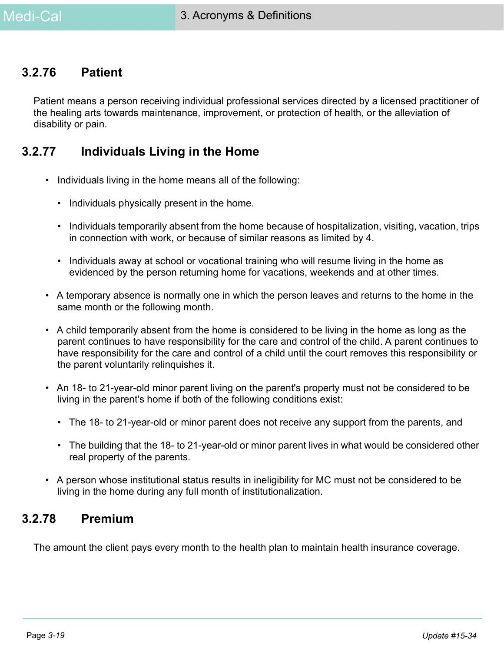#### **3.2.76 Patient**

Patient means a person receiving individual professional services directed by a licensed practitioner of the healing arts towards maintenance, improvement, or protection of health, or the alleviation of disability or pain.

#### **3.2.77 Individuals Living in the Home**

- Individuals living in the home means all of the following:
	- Individuals physically present in the home.
	- Individuals temporarily absent from the home because of hospitalization, visiting, vacation, trips in connection with work, or because of similar reasons as limited by 4.
	- Individuals away at school or vocational training who will resume living in the home as evidenced by the person returning home for vacations, weekends and at other times.
- A temporary absence is normally one in which the person leaves and returns to the home in the same month or the following month.
- A child temporarily absent from the home is considered to be living in the home as long as the parent continues to have responsibility for the care and control of the child. A parent continues to have responsibility for the care and control of a child until the court removes this responsibility or the parent voluntarily relinquishes it.
- An 18- to 21-year-old minor parent living on the parent's property must not be considered to be living in the parent's home if both of the following conditions exist:
	- The 18- to 21-year-old or minor parent does not receive any support from the parents, and
	- The building that the 18- to 21-year-old or minor parent lives in what would be considered other real property of the parents.
- A person whose institutional status results in ineligibility for MC must not be considered to be living in the home during any full month of institutionalization.

#### **3.2.78 Premium**

The amount the client pays every month to the health plan to maintain health insurance coverage.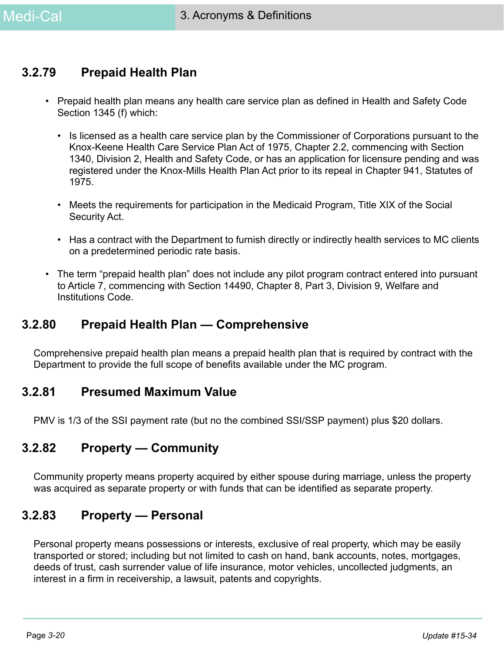#### **3.2.79 Prepaid Health Plan**

- Prepaid health plan means any health care service plan as defined in Health and Safety Code Section 1345 (f) which:
	- Is licensed as a health care service plan by the Commissioner of Corporations pursuant to the Knox-Keene Health Care Service Plan Act of 1975, Chapter 2.2, commencing with Section 1340, Division 2, Health and Safety Code, or has an application for licensure pending and was registered under the Knox-Mills Health Plan Act prior to its repeal in Chapter 941, Statutes of 1975.
	- Meets the requirements for participation in the Medicaid Program, Title XIX of the Social Security Act.
	- Has a contract with the Department to furnish directly or indirectly health services to MC clients on a predetermined periodic rate basis.
- The term "prepaid health plan" does not include any pilot program contract entered into pursuant to Article 7, commencing with Section 14490, Chapter 8, Part 3, Division 9, Welfare and Institutions Code.

#### **3.2.80 Prepaid Health Plan — Comprehensive**

Comprehensive prepaid health plan means a prepaid health plan that is required by contract with the Department to provide the full scope of benefits available under the MC program.

#### **3.2.81 Presumed Maximum Value**

PMV is 1/3 of the SSI payment rate (but no the combined SSI/SSP payment) plus \$20 dollars.

### **3.2.82 Property — Community**

Community property means property acquired by either spouse during marriage, unless the property was acquired as separate property or with funds that can be identified as separate property.

#### **3.2.83 Property — Personal**

Personal property means possessions or interests, exclusive of real property, which may be easily transported or stored; including but not limited to cash on hand, bank accounts, notes, mortgages, deeds of trust, cash surrender value of life insurance, motor vehicles, uncollected judgments, an interest in a firm in receivership, a lawsuit, patents and copyrights.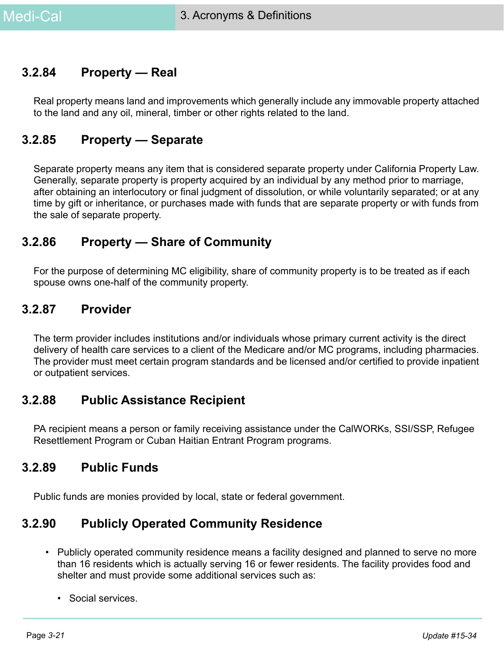#### **3.2.84 Property — Real**

Real property means land and improvements which generally include any immovable property attached to the land and any oil, mineral, timber or other rights related to the land.

#### **3.2.85 Property — Separate**

Separate property means any item that is considered separate property under California Property Law. Generally, separate property is property acquired by an individual by any method prior to marriage, after obtaining an interlocutory or final judgment of dissolution, or while voluntarily separated; or at any time by gift or inheritance, or purchases made with funds that are separate property or with funds from the sale of separate property.

#### **3.2.86 Property — Share of Community**

For the purpose of determining MC eligibility, share of community property is to be treated as if each spouse owns one-half of the community property.

#### **3.2.87 Provider**

The term provider includes institutions and/or individuals whose primary current activity is the direct delivery of health care services to a client of the Medicare and/or MC programs, including pharmacies. The provider must meet certain program standards and be licensed and/or certified to provide inpatient or outpatient services.

#### **3.2.88 Public Assistance Recipient**

PA recipient means a person or family receiving assistance under the CalWORKs, SSI/SSP, Refugee Resettlement Program or Cuban Haitian Entrant Program programs.

#### **3.2.89 Public Funds**

Public funds are monies provided by local, state or federal government.

## **3.2.90 Publicly Operated Community Residence**

- Publicly operated community residence means a facility designed and planned to serve no more than 16 residents which is actually serving 16 or fewer residents. The facility provides food and shelter and must provide some additional services such as:
	- Social services.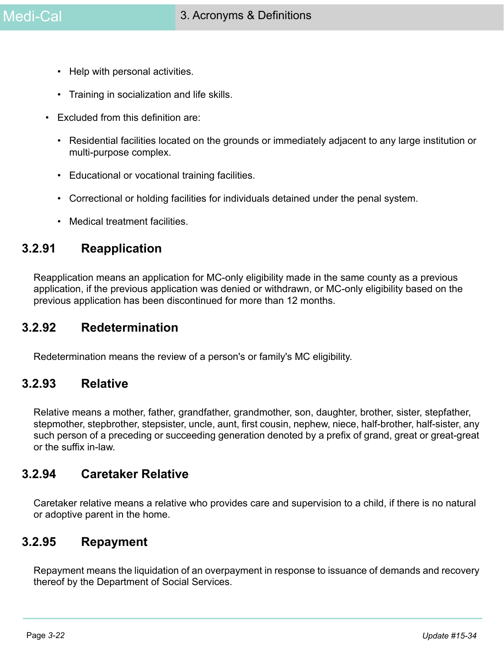- Help with personal activities.
- Training in socialization and life skills.
- Excluded from this definition are:
	- Residential facilities located on the grounds or immediately adjacent to any large institution or multi-purpose complex.
	- Educational or vocational training facilities.
	- Correctional or holding facilities for individuals detained under the penal system.
	- Medical treatment facilities.

#### **3.2.91 Reapplication**

Reapplication means an application for MC-only eligibility made in the same county as a previous application, if the previous application was denied or withdrawn, or MC-only eligibility based on the previous application has been discontinued for more than 12 months.

#### **3.2.92 Redetermination**

Redetermination means the review of a person's or family's MC eligibility.

#### **3.2.93 Relative**

Relative means a mother, father, grandfather, grandmother, son, daughter, brother, sister, stepfather, stepmother, stepbrother, stepsister, uncle, aunt, first cousin, nephew, niece, half-brother, half-sister, any such person of a preceding or succeeding generation denoted by a prefix of grand, great or great-great or the suffix in-law.

#### **3.2.94 Caretaker Relative**

Caretaker relative means a relative who provides care and supervision to a child, if there is no natural or adoptive parent in the home.

#### **3.2.95 Repayment**

Repayment means the liquidation of an overpayment in response to issuance of demands and recovery thereof by the Department of Social Services.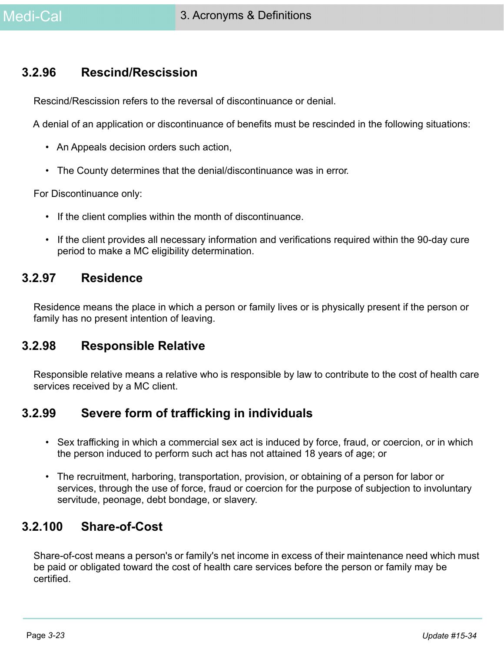#### **3.2.96 Rescind/Rescission**

Rescind/Rescission refers to the reversal of discontinuance or denial.

A denial of an application or discontinuance of benefits must be rescinded in the following situations:

- An Appeals decision orders such action,
- The County determines that the denial/discontinuance was in error.

For Discontinuance only:

- If the client complies within the month of discontinuance.
- If the client provides all necessary information and verifications required within the 90-day cure period to make a MC eligibility determination.

#### **3.2.97 Residence**

Residence means the place in which a person or family lives or is physically present if the person or family has no present intention of leaving.

#### **3.2.98 Responsible Relative**

Responsible relative means a relative who is responsible by law to contribute to the cost of health care services received by a MC client.

#### **3.2.99 Severe form of trafficking in individuals**

- Sex trafficking in which a commercial sex act is induced by force, fraud, or coercion, or in which the person induced to perform such act has not attained 18 years of age; or
- The recruitment, harboring, transportation, provision, or obtaining of a person for labor or services, through the use of force, fraud or coercion for the purpose of subjection to involuntary servitude, peonage, debt bondage, or slavery.

### **3.2.100 Share-of-Cost**

Share-of-cost means a person's or family's net income in excess of their maintenance need which must be paid or obligated toward the cost of health care services before the person or family may be certified.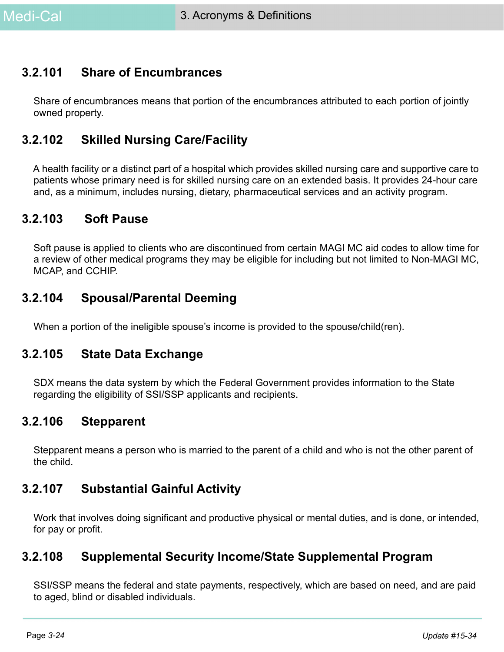## **3.2.101 Share of Encumbrances**

Share of encumbrances means that portion of the encumbrances attributed to each portion of jointly owned property.

## **3.2.102 Skilled Nursing Care/Facility**

A health facility or a distinct part of a hospital which provides skilled nursing care and supportive care to patients whose primary need is for skilled nursing care on an extended basis. It provides 24-hour care and, as a minimum, includes nursing, dietary, pharmaceutical services and an activity program.

#### **3.2.103 Soft Pause**

Soft pause is applied to clients who are discontinued from certain MAGI MC aid codes to allow time for a review of other medical programs they may be eligible for including but not limited to Non-MAGI MC, MCAP, and CCHIP.

### **3.2.104 Spousal/Parental Deeming**

When a portion of the ineligible spouse's income is provided to the spouse/child(ren).

#### **3.2.105 State Data Exchange**

SDX means the data system by which the Federal Government provides information to the State regarding the eligibility of SSI/SSP applicants and recipients.

#### **3.2.106 Stepparent**

Stepparent means a person who is married to the parent of a child and who is not the other parent of the child.

#### **3.2.107 Substantial Gainful Activity**

Work that involves doing significant and productive physical or mental duties, and is done, or intended, for pay or profit.

#### **3.2.108 Supplemental Security Income/State Supplemental Program**

SSI/SSP means the federal and state payments, respectively, which are based on need, and are paid to aged, blind or disabled individuals.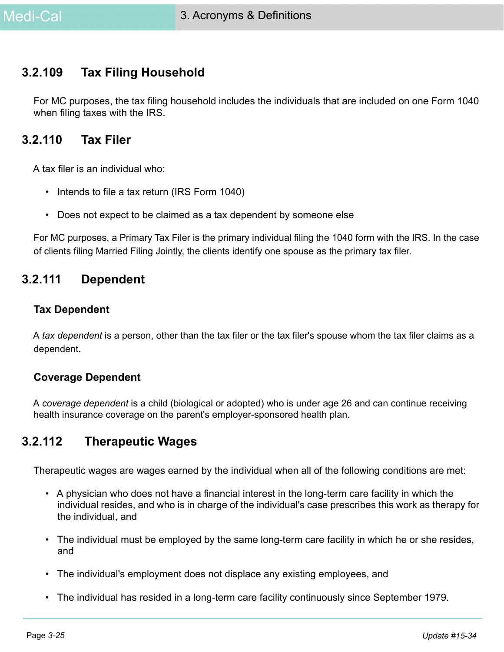### **3.2.109 Tax Filing Household**

For MC purposes, the tax filing household includes the individuals that are included on one Form 1040 when filing taxes with the IRS.

#### **3.2.110 Tax Filer**

A tax filer is an individual who:

- Intends to file a tax return (IRS Form 1040)
- Does not expect to be claimed as a tax dependent by someone else

For MC purposes, a Primary Tax Filer is the primary individual filing the 1040 form with the IRS. In the case of clients filing Married Filing Jointly, the clients identify one spouse as the primary tax filer.

#### **3.2.111 Dependent**

#### **Tax Dependent**

A *tax dependent* is a person, other than the tax filer or the tax filer's spouse whom the tax filer claims as a dependent.

#### **Coverage Dependent**

A *coverage dependent* is a child (biological or adopted) who is under age 26 and can continue receiving health insurance coverage on the parent's employer-sponsored health plan.

#### **3.2.112 Therapeutic Wages**

Therapeutic wages are wages earned by the individual when all of the following conditions are met:

- A physician who does not have a financial interest in the long-term care facility in which the individual resides, and who is in charge of the individual's case prescribes this work as therapy for the individual, and
- The individual must be employed by the same long-term care facility in which he or she resides, and
- The individual's employment does not displace any existing employees, and
- The individual has resided in a long-term care facility continuously since September 1979.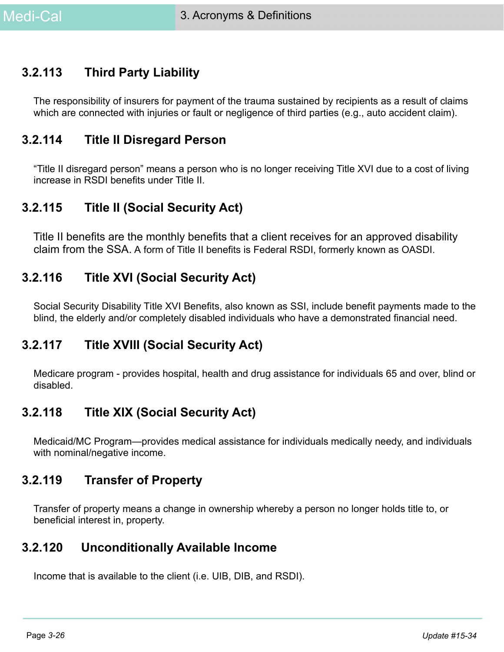## **3.2.113 Third Party Liability**

The responsibility of insurers for payment of the trauma sustained by recipients as a result of claims which are connected with injuries or fault or negligence of third parties (e.g., auto accident claim).

### **3.2.114 Title II Disregard Person**

"Title II disregard person" means a person who is no longer receiving Title XVI due to a cost of living increase in RSDI benefits under Title II.

### **3.2.115 Title II (Social Security Act)**

Title II benefits are the monthly benefits that a client receives for an approved disability claim from the SSA. A form of Title II benefits is Federal RSDI, formerly known as OASDI.

### **3.2.116 Title XVI (Social Security Act)**

Social Security Disability Title XVI Benefits, also known as SSI, include benefit payments made to the blind, the elderly and/or completely disabled individuals who have a demonstrated financial need.

### **3.2.117 Title XVIII (Social Security Act)**

Medicare program - provides hospital, health and drug assistance for individuals 65 and over, blind or disabled.

### **3.2.118 Title XIX (Social Security Act)**

Medicaid/MC Program—provides medical assistance for individuals medically needy, and individuals with nominal/negative income.

#### **3.2.119 Transfer of Property**

Transfer of property means a change in ownership whereby a person no longer holds title to, or beneficial interest in, property.

#### **3.2.120 Unconditionally Available Income**

Income that is available to the client (i.e. UIB, DIB, and RSDI).